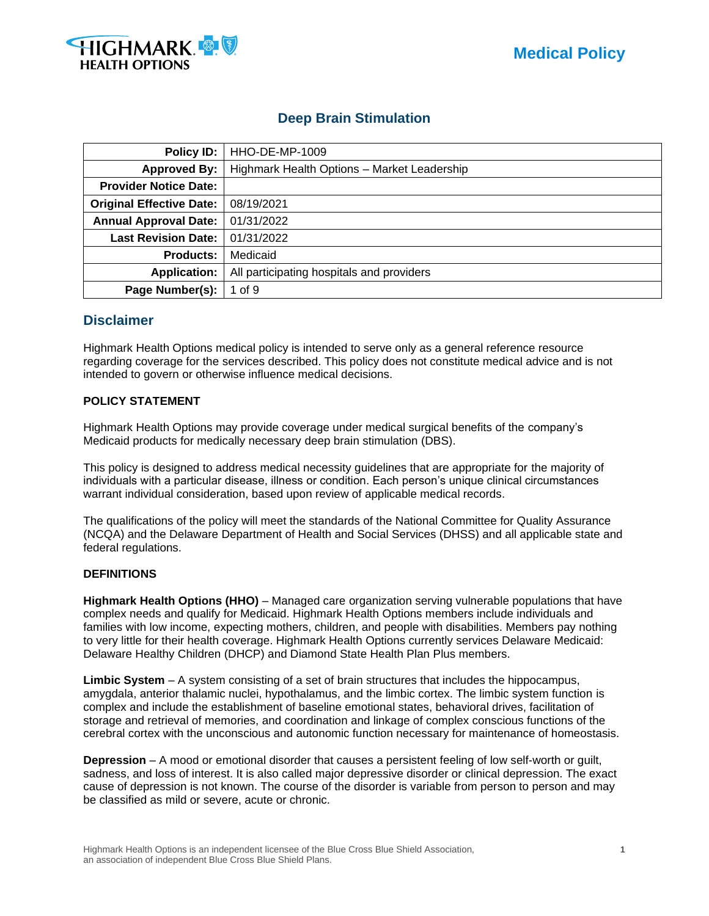

# **Deep Brain Stimulation**

| <b>Policy ID:</b>               | <b>HHO-DE-MP-1009</b>                       |  |  |  |
|---------------------------------|---------------------------------------------|--|--|--|
| <b>Approved By:</b>             | Highmark Health Options - Market Leadership |  |  |  |
| <b>Provider Notice Date:</b>    |                                             |  |  |  |
| <b>Original Effective Date:</b> | 08/19/2021                                  |  |  |  |
| <b>Annual Approval Date:</b>    | 01/31/2022                                  |  |  |  |
| <b>Last Revision Date:</b>      | 01/31/2022                                  |  |  |  |
| <b>Products:</b>                | Medicaid                                    |  |  |  |
| <b>Application:</b>             | All participating hospitals and providers   |  |  |  |
| Page Number(s):                 | 1 of $9$                                    |  |  |  |

# **Disclaimer**

Highmark Health Options medical policy is intended to serve only as a general reference resource regarding coverage for the services described. This policy does not constitute medical advice and is not intended to govern or otherwise influence medical decisions.

# **POLICY STATEMENT**

Highmark Health Options may provide coverage under medical surgical benefits of the company's Medicaid products for medically necessary deep brain stimulation (DBS).

This policy is designed to address medical necessity guidelines that are appropriate for the majority of individuals with a particular disease, illness or condition. Each person's unique clinical circumstances warrant individual consideration, based upon review of applicable medical records.

The qualifications of the policy will meet the standards of the National Committee for Quality Assurance (NCQA) and the Delaware Department of Health and Social Services (DHSS) and all applicable state and federal regulations.

## **DEFINITIONS**

**Highmark Health Options (HHO)** – Managed care organization serving vulnerable populations that have complex needs and qualify for Medicaid. Highmark Health Options members include individuals and families with low income, expecting mothers, children, and people with disabilities. Members pay nothing to very little for their health coverage. Highmark Health Options currently services Delaware Medicaid: Delaware Healthy Children (DHCP) and Diamond State Health Plan Plus members.

**Limbic System** – A system consisting of a set of brain structures that includes the hippocampus, amygdala, anterior thalamic nuclei, hypothalamus, and the limbic cortex. The limbic system function is complex and include the establishment of baseline emotional states, behavioral drives, facilitation of storage and retrieval of memories, and coordination and linkage of complex conscious functions of the cerebral cortex with the unconscious and autonomic function necessary for maintenance of homeostasis.

**Depression** – A mood or emotional disorder that causes a persistent feeling of low self-worth or guilt, sadness, and loss of interest. It is also called major depressive disorder or clinical depression. The exact cause of depression is not known. The course of the disorder is variable from person to person and may be classified as mild or severe, acute or chronic.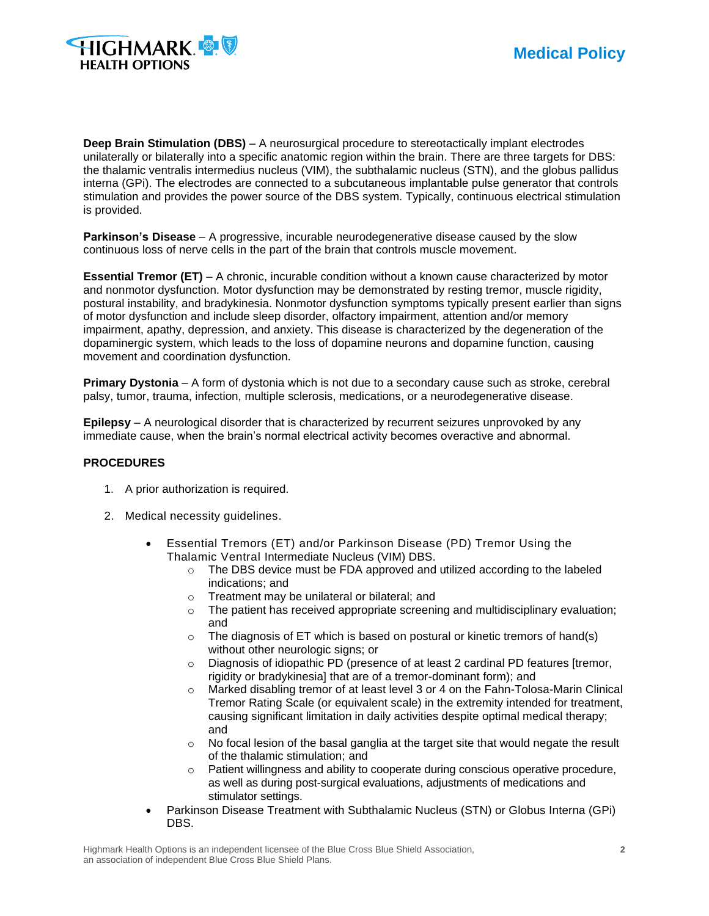

**Deep Brain Stimulation (DBS)** – A neurosurgical procedure to stereotactically implant electrodes unilaterally or bilaterally into a specific anatomic region within the brain. There are three targets for DBS: the thalamic ventralis intermedius nucleus (VIM), the subthalamic nucleus (STN), and the globus pallidus interna (GPi). The electrodes are connected to a subcutaneous implantable pulse generator that controls stimulation and provides the power source of the DBS system. Typically, continuous electrical stimulation is provided.

**Parkinson's Disease** – A progressive, incurable neurodegenerative disease caused by the slow continuous loss of nerve cells in the part of the brain that controls muscle movement.

**Essential Tremor (ET)** – A chronic, incurable condition without a known cause characterized by motor and nonmotor dysfunction. Motor dysfunction may be demonstrated by resting tremor, muscle rigidity, postural instability, and bradykinesia. Nonmotor dysfunction symptoms typically present earlier than signs of motor dysfunction and include sleep disorder, olfactory impairment, attention and/or memory impairment, apathy, depression, and anxiety. This disease is characterized by the degeneration of the dopaminergic system, which leads to the loss of dopamine neurons and dopamine function, causing movement and coordination dysfunction.

**Primary Dystonia** – A form of dystonia which is not due to a secondary cause such as stroke, cerebral palsy, tumor, trauma, infection, multiple sclerosis, medications, or a neurodegenerative disease.

**Epilepsy** – A neurological disorder that is characterized by recurrent seizures unprovoked by any immediate cause, when the brain's normal electrical activity becomes overactive and abnormal.

#### **PROCEDURES**

- 1. A prior authorization is required.
- 2. Medical necessity guidelines.
	- Essential Tremors (ET) and/or Parkinson Disease (PD) Tremor Using the Thalamic Ventral Intermediate Nucleus (VIM) DBS.
		- $\circ$  The DBS device must be FDA approved and utilized according to the labeled indications; and
		- o Treatment may be unilateral or bilateral; and
		- $\circ$  The patient has received appropriate screening and multidisciplinary evaluation; and
		- o The diagnosis of ET which is based on postural or kinetic tremors of hand(s) without other neurologic signs; or
		- $\circ$  Diagnosis of idiopathic PD (presence of at least 2 cardinal PD features [tremor, rigidity or bradykinesia] that are of a tremor-dominant form); and
		- $\circ$  Marked disabling tremor of at least level 3 or 4 on the Fahn-Tolosa-Marin Clinical Tremor Rating Scale (or equivalent scale) in the extremity intended for treatment, causing significant limitation in daily activities despite optimal medical therapy; and
		- $\circ$  No focal lesion of the basal ganglia at the target site that would negate the result of the thalamic stimulation; and
		- o Patient willingness and ability to cooperate during conscious operative procedure, as well as during post-surgical evaluations, adjustments of medications and stimulator settings.
	- Parkinson Disease Treatment with Subthalamic Nucleus (STN) or Globus Interna (GPi) DBS.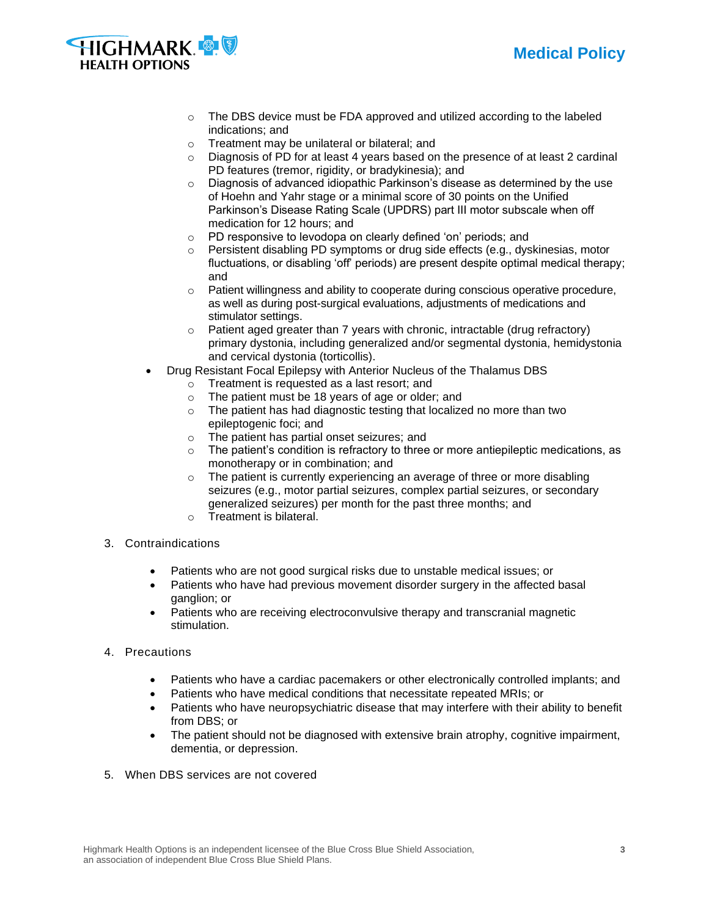



- $\circ$  The DBS device must be FDA approved and utilized according to the labeled indications; and
- o Treatment may be unilateral or bilateral; and
- o Diagnosis of PD for at least 4 years based on the presence of at least 2 cardinal PD features (tremor, rigidity, or bradykinesia); and
- o Diagnosis of advanced idiopathic Parkinson's disease as determined by the use of Hoehn and Yahr stage or a minimal score of 30 points on the Unified Parkinson's Disease Rating Scale (UPDRS) part III motor subscale when off medication for 12 hours; and
- o PD responsive to levodopa on clearly defined 'on' periods; and
- Persistent disabling PD symptoms or drug side effects (e.g., dyskinesias, motor fluctuations, or disabling 'off' periods) are present despite optimal medical therapy; and
- $\circ$  Patient willingness and ability to cooperate during conscious operative procedure, as well as during post-surgical evaluations, adjustments of medications and stimulator settings.
- o Patient aged greater than 7 years with chronic, intractable (drug refractory) primary dystonia, including generalized and/or segmental dystonia, hemidystonia and cervical dystonia (torticollis).
- Drug Resistant Focal Epilepsy with Anterior Nucleus of the Thalamus DBS
	- o Treatment is requested as a last resort; and
	- o The patient must be 18 years of age or older; and
	- o The patient has had diagnostic testing that localized no more than two epileptogenic foci; and
	- o The patient has partial onset seizures; and
	- $\circ$  The patient's condition is refractory to three or more antiepileptic medications, as monotherapy or in combination; and
	- o The patient is currently experiencing an average of three or more disabling seizures (e.g., motor partial seizures, complex partial seizures, or secondary generalized seizures) per month for the past three months; and
	- o Treatment is bilateral.
- 3. Contraindications
	- Patients who are not good surgical risks due to unstable medical issues; or
	- Patients who have had previous movement disorder surgery in the affected basal ganglion; or
	- Patients who are receiving electroconvulsive therapy and transcranial magnetic stimulation.
- 4. Precautions
	- Patients who have a cardiac pacemakers or other electronically controlled implants; and
	- Patients who have medical conditions that necessitate repeated MRIs; or
	- Patients who have neuropsychiatric disease that may interfere with their ability to benefit from DBS; or
	- The patient should not be diagnosed with extensive brain atrophy, cognitive impairment, dementia, or depression.
- 5. When DBS services are not covered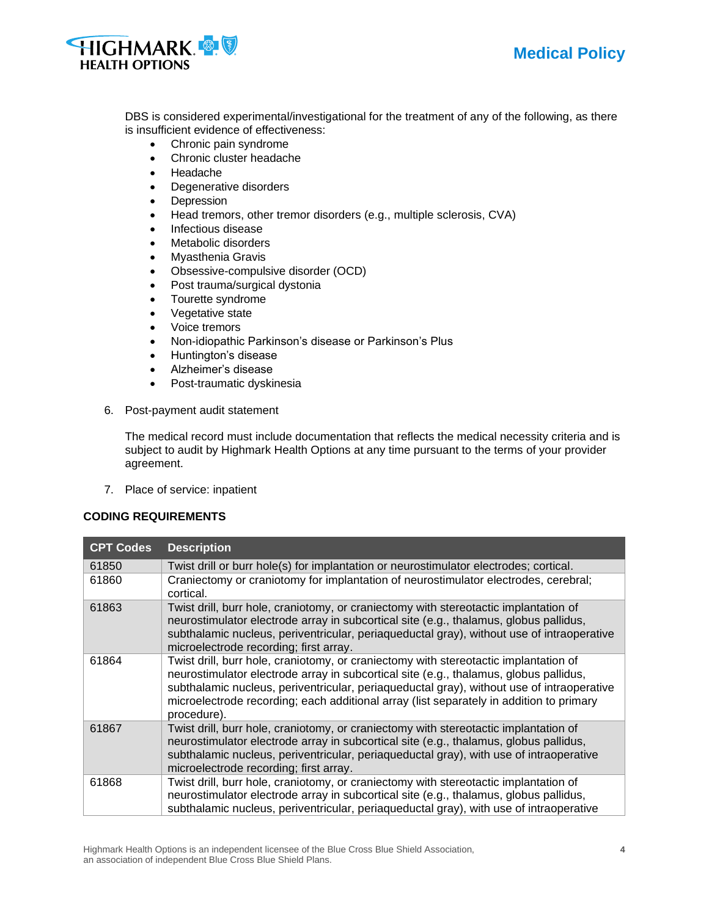



DBS is considered experimental/investigational for the treatment of any of the following, as there is insufficient evidence of effectiveness:

- Chronic pain syndrome
- Chronic cluster headache
- Headache
- Degenerative disorders
- Depression
- Head tremors, other tremor disorders (e.g., multiple sclerosis, CVA)
- Infectious disease
- Metabolic disorders
- Myasthenia Gravis
- Obsessive-compulsive disorder (OCD)
- Post trauma/surgical dystonia
- Tourette syndrome
- Vegetative state
- Voice tremors
- Non-idiopathic Parkinson's disease or Parkinson's Plus
- Huntington's disease
- Alzheimer's disease
- Post-traumatic dyskinesia
- 6. Post-payment audit statement

The medical record must include documentation that reflects the medical necessity criteria and is subject to audit by Highmark Health Options at any time pursuant to the terms of your provider agreement.

7. Place of service: inpatient

## **CODING REQUIREMENTS**

| <b>CPT Codes</b> | <b>Description</b>                                                                                                                                                                                                                                                                                                                                                                   |
|------------------|--------------------------------------------------------------------------------------------------------------------------------------------------------------------------------------------------------------------------------------------------------------------------------------------------------------------------------------------------------------------------------------|
| 61850            | Twist drill or burr hole(s) for implantation or neurostimulator electrodes; cortical.                                                                                                                                                                                                                                                                                                |
| 61860            | Craniectomy or craniotomy for implantation of neurostimulator electrodes, cerebral;<br>cortical.                                                                                                                                                                                                                                                                                     |
| 61863            | Twist drill, burr hole, craniotomy, or craniectomy with stereotactic implantation of<br>neurostimulator electrode array in subcortical site (e.g., thalamus, globus pallidus,<br>subthalamic nucleus, periventricular, periaqueductal gray), without use of intraoperative<br>microelectrode recording; first array.                                                                 |
| 61864            | Twist drill, burr hole, craniotomy, or craniectomy with stereotactic implantation of<br>neurostimulator electrode array in subcortical site (e.g., thalamus, globus pallidus,<br>subthalamic nucleus, periventricular, periaqueductal gray), without use of intraoperative<br>microelectrode recording; each additional array (list separately in addition to primary<br>procedure). |
| 61867            | Twist drill, burr hole, craniotomy, or craniectomy with stereotactic implantation of<br>neurostimulator electrode array in subcortical site (e.g., thalamus, globus pallidus,<br>subthalamic nucleus, periventricular, periaqueductal gray), with use of intraoperative<br>microelectrode recording; first array.                                                                    |
| 61868            | Twist drill, burr hole, craniotomy, or craniectomy with stereotactic implantation of<br>neurostimulator electrode array in subcortical site (e.g., thalamus, globus pallidus,<br>subthalamic nucleus, periventricular, periaqueductal gray), with use of intraoperative                                                                                                              |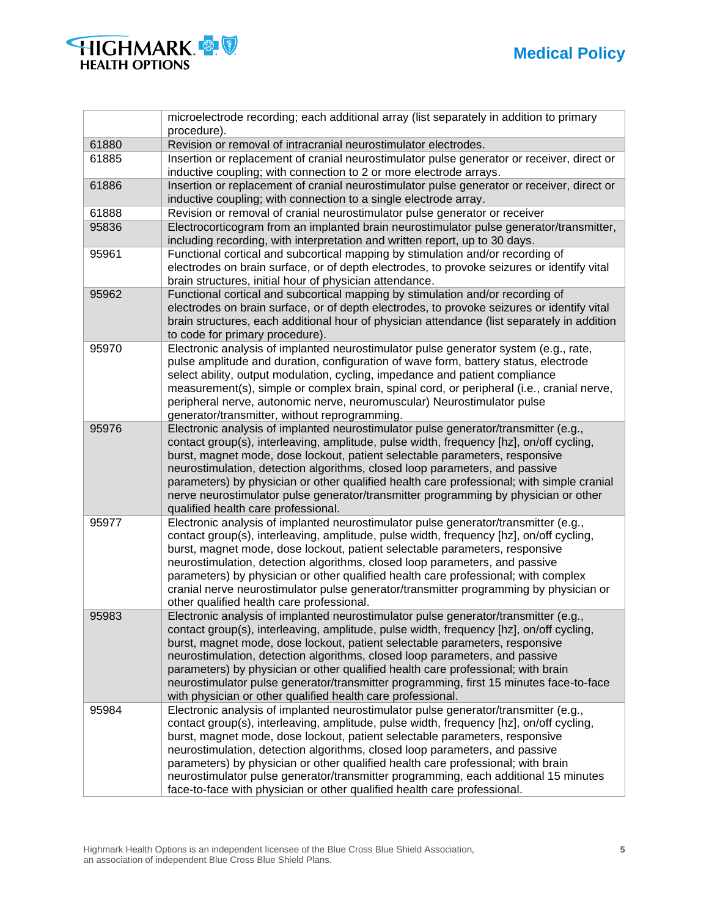

|       | microelectrode recording; each additional array (list separately in addition to primary<br>procedure).                                                                 |
|-------|------------------------------------------------------------------------------------------------------------------------------------------------------------------------|
| 61880 | Revision or removal of intracranial neurostimulator electrodes.                                                                                                        |
| 61885 | Insertion or replacement of cranial neurostimulator pulse generator or receiver, direct or                                                                             |
|       | inductive coupling; with connection to 2 or more electrode arrays.                                                                                                     |
| 61886 | Insertion or replacement of cranial neurostimulator pulse generator or receiver, direct or                                                                             |
|       | inductive coupling; with connection to a single electrode array.                                                                                                       |
| 61888 | Revision or removal of cranial neurostimulator pulse generator or receiver                                                                                             |
| 95836 | Electrocorticogram from an implanted brain neurostimulator pulse generator/transmitter,<br>including recording, with interpretation and written report, up to 30 days. |
| 95961 | Functional cortical and subcortical mapping by stimulation and/or recording of                                                                                         |
|       | electrodes on brain surface, or of depth electrodes, to provoke seizures or identify vital                                                                             |
|       | brain structures, initial hour of physician attendance.                                                                                                                |
| 95962 | Functional cortical and subcortical mapping by stimulation and/or recording of                                                                                         |
|       | electrodes on brain surface, or of depth electrodes, to provoke seizures or identify vital                                                                             |
|       | brain structures, each additional hour of physician attendance (list separately in addition                                                                            |
|       | to code for primary procedure).                                                                                                                                        |
| 95970 | Electronic analysis of implanted neurostimulator pulse generator system (e.g., rate,                                                                                   |
|       | pulse amplitude and duration, configuration of wave form, battery status, electrode                                                                                    |
|       | select ability, output modulation, cycling, impedance and patient compliance                                                                                           |
|       | measurement(s), simple or complex brain, spinal cord, or peripheral (i.e., cranial nerve,                                                                              |
|       | peripheral nerve, autonomic nerve, neuromuscular) Neurostimulator pulse                                                                                                |
|       | generator/transmitter, without reprogramming.                                                                                                                          |
| 95976 | Electronic analysis of implanted neurostimulator pulse generator/transmitter (e.g.,                                                                                    |
|       | contact group(s), interleaving, amplitude, pulse width, frequency [hz], on/off cycling,                                                                                |
|       | burst, magnet mode, dose lockout, patient selectable parameters, responsive<br>neurostimulation, detection algorithms, closed loop parameters, and passive             |
|       | parameters) by physician or other qualified health care professional; with simple cranial                                                                              |
|       | nerve neurostimulator pulse generator/transmitter programming by physician or other                                                                                    |
|       | qualified health care professional.                                                                                                                                    |
| 95977 | Electronic analysis of implanted neurostimulator pulse generator/transmitter (e.g.,                                                                                    |
|       | contact group(s), interleaving, amplitude, pulse width, frequency [hz], on/off cycling,                                                                                |
|       | burst, magnet mode, dose lockout, patient selectable parameters, responsive                                                                                            |
|       | neurostimulation, detection algorithms, closed loop parameters, and passive                                                                                            |
|       | parameters) by physician or other qualified health care professional; with complex                                                                                     |
|       | cranial nerve neurostimulator pulse generator/transmitter programming by physician or                                                                                  |
|       | other qualified health care professional.                                                                                                                              |
| 95983 | Electronic analysis of implanted neurostimulator pulse generator/transmitter (e.g.,                                                                                    |
|       | contact group(s), interleaving, amplitude, pulse width, frequency [hz], on/off cycling,                                                                                |
|       | burst, magnet mode, dose lockout, patient selectable parameters, responsive                                                                                            |
|       | neurostimulation, detection algorithms, closed loop parameters, and passive                                                                                            |
|       | parameters) by physician or other qualified health care professional; with brain                                                                                       |
|       | neurostimulator pulse generator/transmitter programming, first 15 minutes face-to-face                                                                                 |
|       | with physician or other qualified health care professional.                                                                                                            |
| 95984 | Electronic analysis of implanted neurostimulator pulse generator/transmitter (e.g.,                                                                                    |
|       | contact group(s), interleaving, amplitude, pulse width, frequency [hz], on/off cycling,                                                                                |
|       | burst, magnet mode, dose lockout, patient selectable parameters, responsive                                                                                            |
|       | neurostimulation, detection algorithms, closed loop parameters, and passive                                                                                            |
|       | parameters) by physician or other qualified health care professional; with brain                                                                                       |
|       | neurostimulator pulse generator/transmitter programming, each additional 15 minutes                                                                                    |
|       | face-to-face with physician or other qualified health care professional.                                                                                               |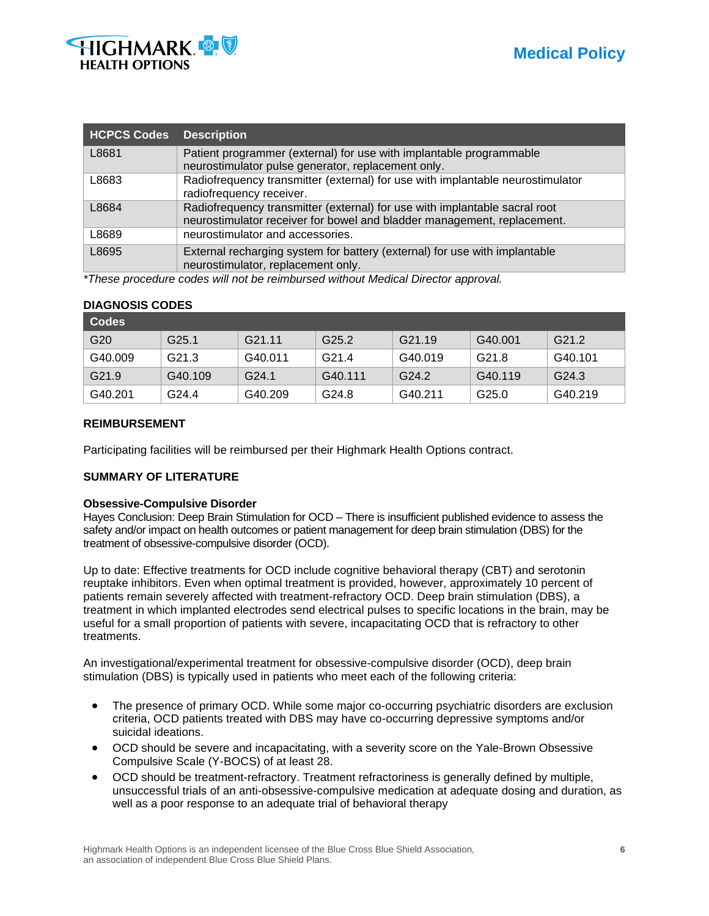

| <b>HCPCS Codes</b> | <b>Description</b>                                                                                                                                    |
|--------------------|-------------------------------------------------------------------------------------------------------------------------------------------------------|
| L8681              | Patient programmer (external) for use with implantable programmable<br>neurostimulator pulse generator, replacement only.                             |
| L8683              | Radiofrequency transmitter (external) for use with implantable neurostimulator<br>radiofrequency receiver.                                            |
| L8684              | Radiofrequency transmitter (external) for use with implantable sacral root<br>neurostimulator receiver for bowel and bladder management, replacement. |
| L8689              | neurostimulator and accessories.                                                                                                                      |
| L8695              | External recharging system for battery (external) for use with implantable<br>neurostimulator, replacement only.                                      |

*\*These procedure codes will not be reimbursed without Medical Director approval.* 

|  | <b>DIAGNOSIS CODES</b> |
|--|------------------------|
|  |                        |

| Codes             |                   |                    |                   |                    |         |                   |
|-------------------|-------------------|--------------------|-------------------|--------------------|---------|-------------------|
| G <sub>20</sub>   | G <sub>25.1</sub> | G <sub>21.11</sub> | G <sub>25.2</sub> | G <sub>21.19</sub> | G40.001 | G <sub>21.2</sub> |
| G40.009           | G <sub>21.3</sub> | G40.011            | G <sub>21.4</sub> | G40.019            | G21.8   | G40.101           |
| G <sub>21.9</sub> | G40.109           | G <sub>24.1</sub>  | G40.111           | G24.2              | G40.119 | G <sub>24.3</sub> |
| G40.201           | G <sub>24.4</sub> | G40.209            | G24.8             | G40.211            | G25.0   | G40.219           |

## **REIMBURSEMENT**

Participating facilities will be reimbursed per their Highmark Health Options contract.

## **SUMMARY OF LITERATURE**

#### **Obsessive-Compulsive Disorder**

Hayes Conclusion: Deep Brain Stimulation for OCD – There is insufficient published evidence to assess the safety and/or impact on health outcomes or patient management for deep brain stimulation (DBS) for the treatment of obsessive-compulsive disorder (OCD).

Up to date: Effective treatments for OCD include cognitive behavioral therapy (CBT) and serotonin reuptake inhibitors. Even when optimal treatment is provided, however, approximately 10 percent of patients remain severely affected with treatment-refractory OCD. Deep brain stimulation (DBS), a treatment in which implanted electrodes send electrical pulses to specific locations in the brain, may be useful for a small proportion of patients with severe, incapacitating OCD that is refractory to other treatments.

An investigational/experimental treatment for obsessive-compulsive disorder (OCD), deep brain stimulation (DBS) is typically used in patients who meet each of the following criteria:

- The presence of primary OCD. While some major co-occurring psychiatric disorders are exclusion criteria, OCD patients treated with DBS may have co-occurring depressive symptoms and/or suicidal ideations.
- OCD should be severe and incapacitating, with a severity score on the Yale-Brown Obsessive Compulsive Scale (Y-BOCS) of at least 28.
- OCD should be treatment-refractory. Treatment refractoriness is generally defined by multiple, unsuccessful trials of an anti-obsessive-compulsive medication at adequate dosing and duration, as well as a poor response to an adequate trial of behavioral therapy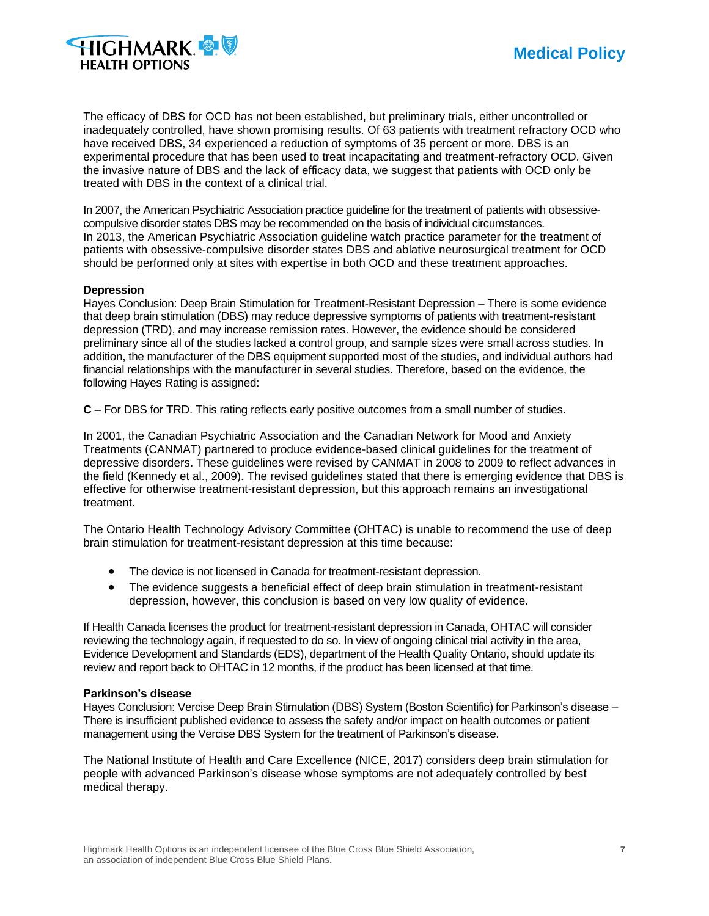

The efficacy of DBS for OCD has not been established, but preliminary trials, either uncontrolled or inadequately controlled, have shown promising results. Of 63 patients with treatment refractory OCD who have received DBS, 34 experienced a reduction of symptoms of 35 percent or more. DBS is an experimental procedure that has been used to treat incapacitating and treatment-refractory OCD. Given the invasive nature of DBS and the lack of efficacy data, we suggest that patients with OCD only be treated with DBS in the context of a clinical trial.

In 2007, the American Psychiatric Association practice guideline for the treatment of patients with obsessivecompulsive disorder states DBS may be recommended on the basis of individual circumstances. In 2013, the American Psychiatric Association guideline watch practice parameter for the treatment of patients with obsessive-compulsive disorder states DBS and ablative neurosurgical treatment for OCD should be performed only at sites with expertise in both OCD and these treatment approaches.

#### **Depression**

Hayes Conclusion: Deep Brain Stimulation for Treatment-Resistant Depression – There is some evidence that deep brain stimulation (DBS) may reduce depressive symptoms of patients with treatment-resistant depression (TRD), and may increase remission rates. However, the evidence should be considered preliminary since all of the studies lacked a control group, and sample sizes were small across studies. In addition, the manufacturer of the DBS equipment supported most of the studies, and individual authors had financial relationships with the manufacturer in several studies. Therefore, based on the evidence, the following Hayes Rating is assigned:

**C** – For DBS for TRD. This rating reflects early positive outcomes from a small number of studies.

In 2001, the Canadian Psychiatric Association and the Canadian Network for Mood and Anxiety Treatments (CANMAT) partnered to produce evidence-based clinical guidelines for the treatment of depressive disorders. These guidelines were revised by CANMAT in 2008 to 2009 to reflect advances in the field (Kennedy et al., 2009). The revised guidelines stated that there is emerging evidence that DBS is effective for otherwise treatment-resistant depression, but this approach remains an investigational treatment.

The Ontario Health Technology Advisory Committee (OHTAC) is unable to recommend the use of deep brain stimulation for treatment-resistant depression at this time because:

- The device is not licensed in Canada for treatment-resistant depression.
- The evidence suggests a beneficial effect of deep brain stimulation in treatment-resistant depression, however, this conclusion is based on very low quality of evidence.

If Health Canada licenses the product for treatment-resistant depression in Canada, OHTAC will consider reviewing the technology again, if requested to do so. In view of ongoing clinical trial activity in the area, Evidence Development and Standards (EDS), department of the Health Quality Ontario, should update its review and report back to OHTAC in 12 months, if the product has been licensed at that time.

#### **Parkinson's disease**

Hayes Conclusion: Vercise Deep Brain Stimulation (DBS) System (Boston Scientific) for Parkinson's disease – There is insufficient published evidence to assess the safety and/or impact on health outcomes or patient management using the Vercise DBS System for the treatment of Parkinson's disease.

The National Institute of Health and Care Excellence (NICE, 2017) considers deep brain stimulation for people with advanced Parkinson's disease whose symptoms are not adequately controlled by best medical therapy.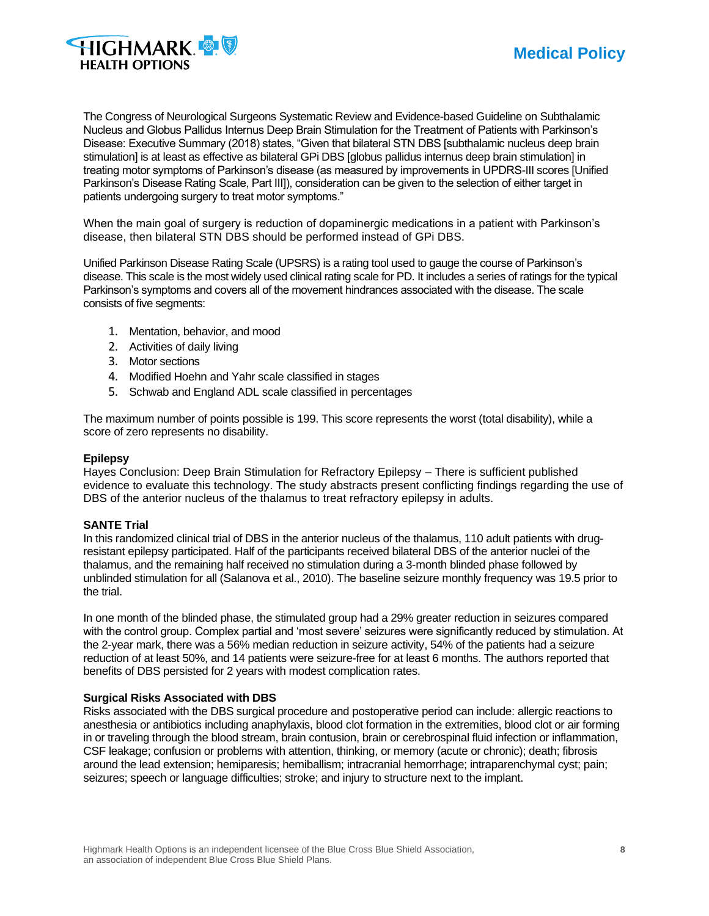

The Congress of Neurological Surgeons Systematic Review and Evidence-based Guideline on Subthalamic Nucleus and Globus Pallidus Internus Deep Brain Stimulation for the Treatment of Patients with Parkinson's Disease: Executive Summary (2018) states, "Given that bilateral STN DBS [subthalamic nucleus deep brain stimulation] is at least as effective as bilateral GPi DBS [globus pallidus internus deep brain stimulation] in treating motor symptoms of Parkinson's disease (as measured by improvements in UPDRS-III scores [Unified Parkinson's Disease Rating Scale, Part III]), consideration can be given to the selection of either target in patients undergoing surgery to treat motor symptoms."

When the main goal of surgery is reduction of dopaminergic medications in a patient with Parkinson's disease, then bilateral STN DBS should be performed instead of GPi DBS.

Unified Parkinson Disease Rating Scale (UPSRS) is a rating tool used to gauge the course of Parkinson's disease. This scale is the most widely used clinical rating scale for PD. It includes a series of ratings for the typical Parkinson's symptoms and covers all of the movement hindrances associated with the disease. The scale consists of five segments:

- 1. Mentation, behavior, and mood
- 2. Activities of daily living
- 3. Motor sections
- 4. Modified Hoehn and Yahr scale classified in stages
- 5. Schwab and England ADL scale classified in percentages

The maximum number of points possible is 199. This score represents the worst (total disability), while a score of zero represents no disability.

#### **Epilepsy**

Hayes Conclusion: Deep Brain Stimulation for Refractory Epilepsy – There is sufficient published evidence to evaluate this technology. The study abstracts present conflicting findings regarding the use of DBS of the anterior nucleus of the thalamus to treat refractory epilepsy in adults.

#### **SANTE Trial**

In this randomized clinical trial of DBS in the anterior nucleus of the thalamus, 110 adult patients with drugresistant epilepsy participated. Half of the participants received bilateral DBS of the anterior nuclei of the thalamus, and the remaining half received no stimulation during a 3-month blinded phase followed by unblinded stimulation for all (Salanova et al., 2010). The baseline seizure monthly frequency was 19.5 prior to the trial.

In one month of the blinded phase, the stimulated group had a 29% greater reduction in seizures compared with the control group. Complex partial and 'most severe' seizures were significantly reduced by stimulation. At the 2-year mark, there was a 56% median reduction in seizure activity, 54% of the patients had a seizure reduction of at least 50%, and 14 patients were seizure-free for at least 6 months. The authors reported that benefits of DBS persisted for 2 years with modest complication rates.

#### **Surgical Risks Associated with DBS**

Risks associated with the DBS surgical procedure and postoperative period can include: allergic reactions to anesthesia or antibiotics including anaphylaxis, blood clot formation in the extremities, blood clot or air forming in or traveling through the blood stream, brain contusion, brain or cerebrospinal fluid infection or inflammation, CSF leakage; confusion or problems with attention, thinking, or memory (acute or chronic); death; fibrosis around the lead extension; hemiparesis; hemiballism; intracranial hemorrhage; intraparenchymal cyst; pain; seizures; speech or language difficulties; stroke; and injury to structure next to the implant.